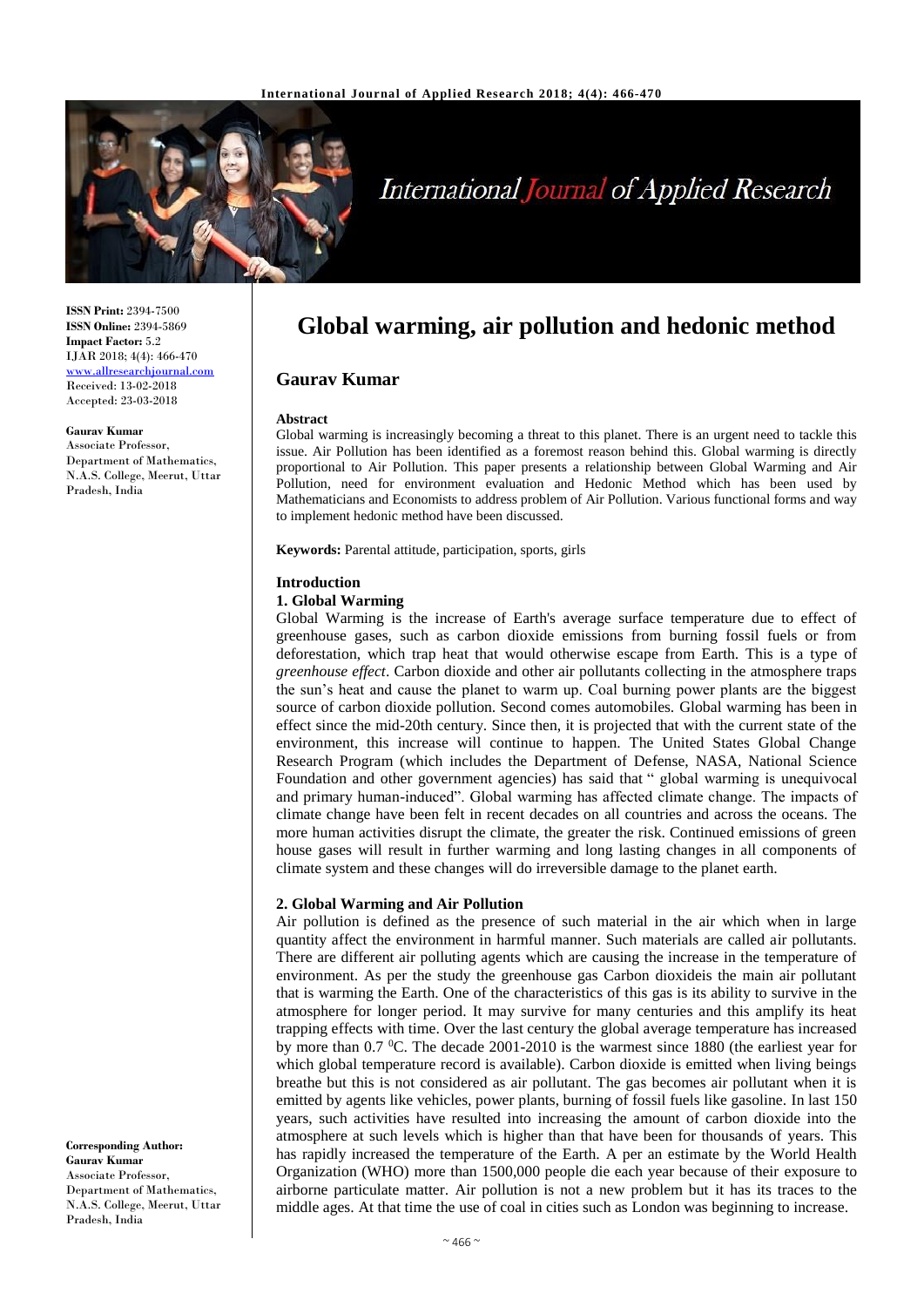

# **International Journal of Applied Research**

**ISSN Print:** 2394-7500 **ISSN Online:** 2394-5869 **Impact Factor:** 5.2 IJAR 2018; 4(4): 466-470 [www.allresearchjournal.com](http://www.allresearchjournal.com/) Received: 13-02-2018 Accepted: 23-03-2018

**Gaurav Kumar** Associate Professor, Department of Mathematics, N.A.S. College, Meerut, Uttar Pradesh, India

**Corresponding Author: Gaurav Kumar** Associate Professor, Department of Mathematics, N.A.S. College, Meerut, Uttar Pradesh, India

# **Global warming, air pollution and hedonic method**

# **Gaurav Kumar**

#### **Abstract**

Global warming is increasingly becoming a threat to this planet. There is an urgent need to tackle this issue. Air Pollution has been identified as a foremost reason behind this. Global warming is directly proportional to Air Pollution. This paper presents a relationship between Global Warming and Air Pollution, need for environment evaluation and Hedonic Method which has been used by Mathematicians and Economists to address problem of Air Pollution. Various functional forms and way to implement hedonic method have been discussed.

**Keywords:** Parental attitude, participation, sports, girls

#### **Introduction**

### **1. Global Warming**

Global Warming is the increase of Earth's average surface temperature due to effect of greenhouse gases, such as carbon dioxide emissions from burning fossil fuels or from deforestation, which trap heat that would otherwise escape from Earth. This is a type of *greenhouse effect*. Carbon dioxide and other air pollutants collecting in the atmosphere traps the sun's heat and cause the planet to warm up. Coal burning power plants are the biggest source of carbon dioxide pollution. Second comes automobiles. Global warming has been in effect since the mid-20th century. Since then, it is projected that with the current state of the environment, this increase will continue to happen. The United States Global Change Research Program (which includes the Department of Defense, NASA, National Science Foundation and other government agencies) has said that " global warming is unequivocal and primary human-induced". Global warming has affected climate change. The impacts of climate change have been felt in recent decades on all countries and across the oceans. The more human activities disrupt the climate, the greater the risk. Continued emissions of green house gases will result in further warming and long lasting changes in all components of climate system and these changes will do irreversible damage to the planet earth.

### **2. Global Warming and Air Pollution**

Air pollution is defined as the presence of such material in the air which when in large quantity affect the environment in harmful manner. Such materials are called air pollutants. There are different air polluting agents which are causing the increase in the temperature of environment. As per the study the greenhouse gas Carbon dioxideis the main air pollutant that is warming the Earth. One of the characteristics of this gas is its ability to survive in the atmosphere for longer period. It may survive for many centuries and this amplify its heat trapping effects with time. Over the last century the global average temperature has increased by more than  $0.7 \degree$ C. The decade 2001-2010 is the warmest since 1880 (the earliest year for which global temperature record is available). Carbon dioxide is emitted when living beings breathe but this is not considered as air pollutant. The gas becomes air pollutant when it is emitted by agents like vehicles, power plants, burning of fossil fuels like gasoline. In last 150 years, such activities have resulted into increasing the amount of carbon dioxide into the atmosphere at such levels which is higher than that have been for thousands of years. This has rapidly increased the temperature of the Earth. A per an estimate by the World Health Organization (WHO) more than 1500,000 people die each year because of their exposure to airborne particulate matter. Air pollution is not a new problem but it has its traces to the middle ages. At that time the use of coal in cities such as London was beginning to increase.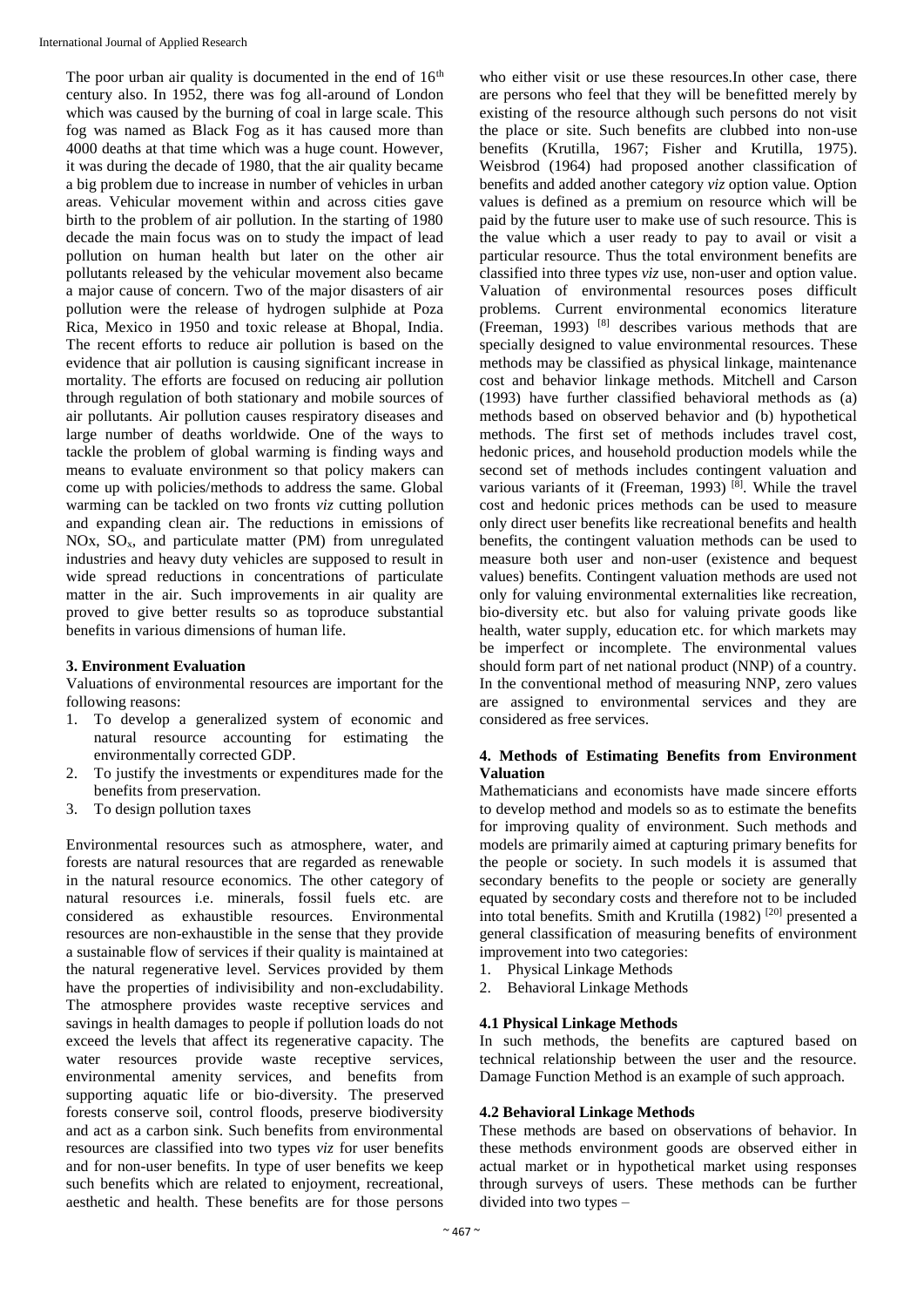The poor urban air quality is documented in the end of  $16<sup>th</sup>$ century also. In 1952, there was fog all-around of London which was caused by the burning of coal in large scale. This fog was named as Black Fog as it has caused more than 4000 deaths at that time which was a huge count. However, it was during the decade of 1980, that the air quality became a big problem due to increase in number of vehicles in urban areas. Vehicular movement within and across cities gave birth to the problem of air pollution. In the starting of 1980 decade the main focus was on to study the impact of lead pollution on human health but later on the other air pollutants released by the vehicular movement also became a major cause of concern. Two of the major disasters of air pollution were the release of hydrogen sulphide at Poza Rica, Mexico in 1950 and toxic release at Bhopal, India. The recent efforts to reduce air pollution is based on the evidence that air pollution is causing significant increase in mortality. The efforts are focused on reducing air pollution through regulation of both stationary and mobile sources of air pollutants. Air pollution causes respiratory diseases and large number of deaths worldwide. One of the ways to tackle the problem of global warming is finding ways and means to evaluate environment so that policy makers can come up with policies/methods to address the same. Global warming can be tackled on two fronts *viz* cutting pollution and expanding clean air. The reductions in emissions of NOx,  $SO<sub>x</sub>$ , and particulate matter (PM) from unregulated industries and heavy duty vehicles are supposed to result in wide spread reductions in concentrations of particulate matter in the air. Such improvements in air quality are proved to give better results so as toproduce substantial benefits in various dimensions of human life.

# **3. Environment Evaluation**

Valuations of environmental resources are important for the following reasons:

- 1. To develop a generalized system of economic and natural resource accounting for estimating the environmentally corrected GDP.
- 2. To justify the investments or expenditures made for the benefits from preservation.
- 3. To design pollution taxes

Environmental resources such as atmosphere, water, and forests are natural resources that are regarded as renewable in the natural resource economics. The other category of natural resources i.e. minerals, fossil fuels etc. are considered as exhaustible resources. Environmental resources are non-exhaustible in the sense that they provide a sustainable flow of services if their quality is maintained at the natural regenerative level. Services provided by them have the properties of indivisibility and non-excludability. The atmosphere provides waste receptive services and savings in health damages to people if pollution loads do not exceed the levels that affect its regenerative capacity. The water resources provide waste receptive services, environmental amenity services, and benefits from supporting aquatic life or bio-diversity. The preserved forests conserve soil, control floods, preserve biodiversity and act as a carbon sink. Such benefits from environmental resources are classified into two types *viz* for user benefits and for non-user benefits. In type of user benefits we keep such benefits which are related to enjoyment, recreational, aesthetic and health. These benefits are for those persons

who either visit or use these resources.In other case, there are persons who feel that they will be benefitted merely by existing of the resource although such persons do not visit the place or site. Such benefits are clubbed into non-use benefits (Krutilla, 1967; Fisher and Krutilla, 1975). Weisbrod (1964) had proposed another classification of benefits and added another category *viz* option value. Option values is defined as a premium on resource which will be paid by the future user to make use of such resource. This is the value which a user ready to pay to avail or visit a particular resource. Thus the total environment benefits are classified into three types *viz* use, non-user and option value. Valuation of environmental resources poses difficult problems. Current environmental economics literature (Freeman, 1993)  $[8]$  describes various methods that are specially designed to value environmental resources. These methods may be classified as physical linkage, maintenance cost and behavior linkage methods. Mitchell and Carson (1993) have further classified behavioral methods as (a) methods based on observed behavior and (b) hypothetical methods. The first set of methods includes travel cost, hedonic prices, and household production models while the second set of methods includes contingent valuation and various variants of it (Freeman, 1993)<sup>[8]</sup>. While the travel cost and hedonic prices methods can be used to measure only direct user benefits like recreational benefits and health benefits, the contingent valuation methods can be used to measure both user and non-user (existence and bequest values) benefits. Contingent valuation methods are used not only for valuing environmental externalities like recreation, bio-diversity etc. but also for valuing private goods like health, water supply, education etc. for which markets may be imperfect or incomplete. The environmental values should form part of net national product (NNP) of a country. In the conventional method of measuring NNP, zero values are assigned to environmental services and they are considered as free services.

## **4. Methods of Estimating Benefits from Environment Valuation**

Mathematicians and economists have made sincere efforts to develop method and models so as to estimate the benefits for improving quality of environment. Such methods and models are primarily aimed at capturing primary benefits for the people or society. In such models it is assumed that secondary benefits to the people or society are generally equated by secondary costs and therefore not to be included into total benefits. Smith and Krutilla (1982) [20] presented a general classification of measuring benefits of environment improvement into two categories:

- 1. Physical Linkage Methods
- 2. Behavioral Linkage Methods

# **4.1 Physical Linkage Methods**

In such methods, the benefits are captured based on technical relationship between the user and the resource. Damage Function Method is an example of such approach.

# **4.2 Behavioral Linkage Methods**

These methods are based on observations of behavior. In these methods environment goods are observed either in actual market or in hypothetical market using responses through surveys of users. These methods can be further divided into two types –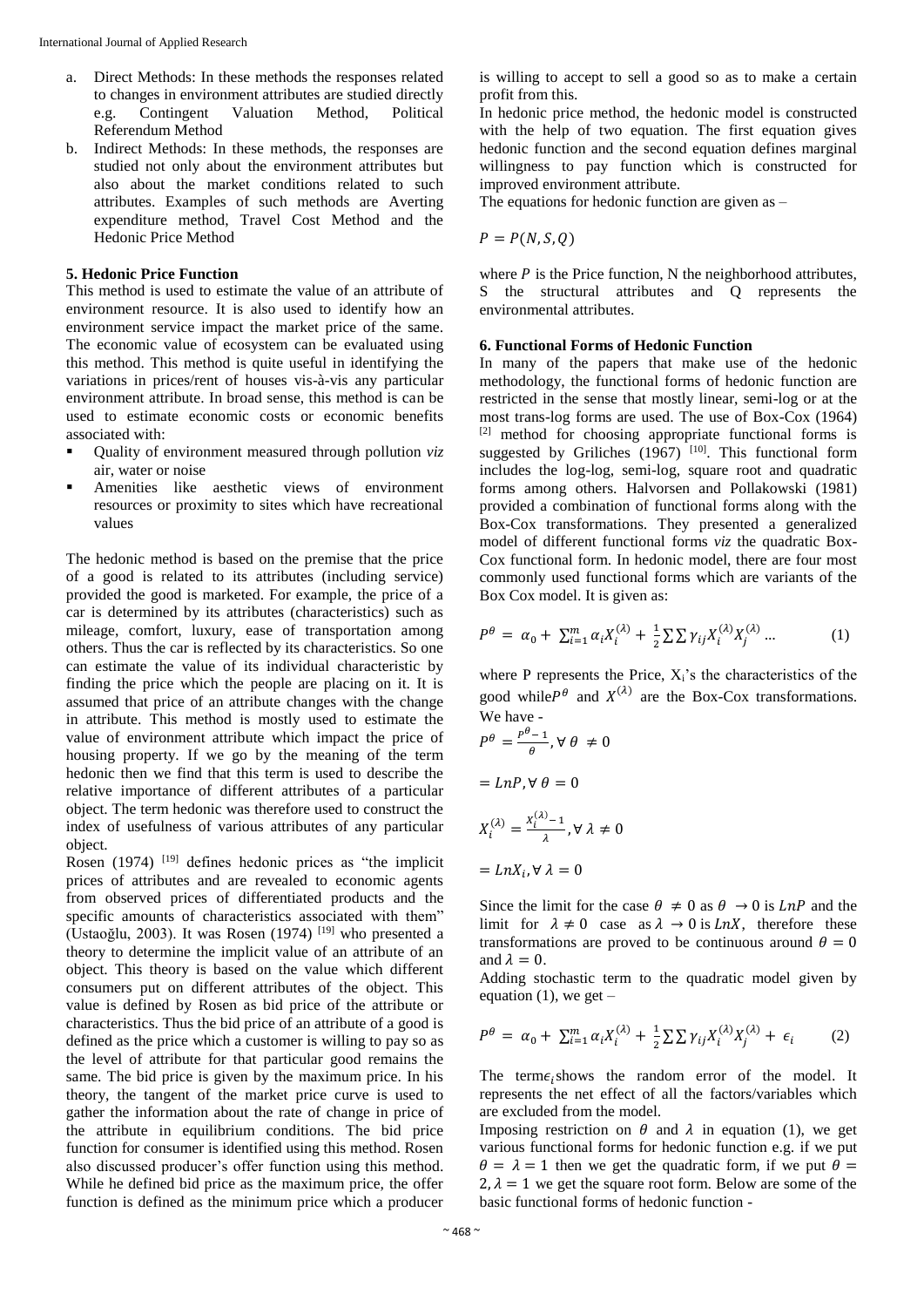- a. Direct Methods: In these methods the responses related to changes in environment attributes are studied directly e.g. Contingent Valuation Method, Political Referendum Method
- b. Indirect Methods: In these methods, the responses are studied not only about the environment attributes but also about the market conditions related to such attributes. Examples of such methods are Averting expenditure method, Travel Cost Method and the Hedonic Price Method

#### **5. Hedonic Price Function**

This method is used to estimate the value of an attribute of environment resource. It is also used to identify how an environment service impact the market price of the same. The economic value of ecosystem can be evaluated using this method. This method is quite useful in identifying the variations in prices/rent of houses vis-à-vis any particular environment attribute. In broad sense, this method is can be used to estimate economic costs or economic benefits associated with:

- Quality of environment measured through pollution *viz* air, water or noise
- Amenities like aesthetic views of environment resources or proximity to sites which have recreational values

The hedonic method is based on the premise that the price of a good is related to its attributes (including service) provided the good is marketed. For example, the price of a car is determined by its attributes (characteristics) such as mileage, comfort, luxury, ease of transportation among others. Thus the car is reflected by its characteristics. So one can estimate the value of its individual characteristic by finding the price which the people are placing on it. It is assumed that price of an attribute changes with the change in attribute. This method is mostly used to estimate the value of environment attribute which impact the price of housing property. If we go by the meaning of the term hedonic then we find that this term is used to describe the relative importance of different attributes of a particular object. The term hedonic was therefore used to construct the index of usefulness of various attributes of any particular object.

Rosen (1974)  $[19]$  defines hedonic prices as "the implicit prices of attributes and are revealed to economic agents from observed prices of differentiated products and the specific amounts of characteristics associated with them" (Ustaoğlu, 2003). It was Rosen (1974) [19] who presented a theory to determine the implicit value of an attribute of an object. This theory is based on the value which different consumers put on different attributes of the object. This value is defined by Rosen as bid price of the attribute or characteristics. Thus the bid price of an attribute of a good is defined as the price which a customer is willing to pay so as the level of attribute for that particular good remains the same. The bid price is given by the maximum price. In his theory, the tangent of the market price curve is used to gather the information about the rate of change in price of the attribute in equilibrium conditions. The bid price function for consumer is identified using this method. Rosen also discussed producer's offer function using this method. While he defined bid price as the maximum price, the offer function is defined as the minimum price which a producer

is willing to accept to sell a good so as to make a certain profit from this.

In hedonic price method, the hedonic model is constructed with the help of two equation. The first equation gives hedonic function and the second equation defines marginal willingness to pay function which is constructed for improved environment attribute.

The equations for hedonic function are given as –

$$
P = P(N, S, Q)
$$

where  $P$  is the Price function, N the neighborhood attributes, S the structural attributes and Q represents the environmental attributes.

# **6. Functional Forms of Hedonic Function**

In many of the papers that make use of the hedonic methodology, the functional forms of hedonic function are restricted in the sense that mostly linear, semi-log or at the most trans-log forms are used. The use of Box-Cox (1964)  $[2]$  method for choosing appropriate functional forms is suggested by Griliches  $(1967)$ <sup>[10]</sup>. This functional form includes the log-log, semi-log, square root and quadratic forms among others. Halvorsen and Pollakowski (1981) provided a combination of functional forms along with the Box-Cox transformations. They presented a generalized model of different functional forms *viz* the quadratic Box-Cox functional form. In hedonic model, there are four most commonly used functional forms which are variants of the Box Cox model. It is given as:

$$
P^{\theta} = \alpha_0 + \sum_{i=1}^{m} \alpha_i X_i^{(\lambda)} + \frac{1}{2} \sum \sum \gamma_{ij} X_i^{(\lambda)} X_j^{(\lambda)} \dots \tag{1}
$$

where P represents the Price,  $X_i$ 's the characteristics of the good while  $P^{\theta}$  and  $X^{(\lambda)}$  are the Box-Cox transformations. We have -

$$
P^{\theta} = \frac{P^{\theta} - 1}{\theta}, \forall \theta \neq 0
$$

$$
= LnP, \forall \theta = 0
$$

$$
X_i^{(\lambda)} = \frac{X_i^{(\lambda)} - 1}{\lambda}, \forall \lambda \neq 0
$$

$$
= LnX_i, \forall \lambda = 0
$$

Since the limit for the case  $\theta \neq 0$  as  $\theta \rightarrow 0$  is LnP and the limit for  $\lambda \neq 0$  case as  $\lambda \rightarrow 0$  is LnX, therefore these transformations are proved to be continuous around  $\theta = 0$ and  $\lambda = 0$ .

Adding stochastic term to the quadratic model given by equation (1), we get  $-$ 

$$
P^{\theta} = \alpha_0 + \sum_{i=1}^{m} \alpha_i X_i^{(\lambda)} + \frac{1}{2} \sum \sum \gamma_{ij} X_i^{(\lambda)} X_j^{(\lambda)} + \epsilon_i \qquad (2)
$$

The term $\epsilon_i$ shows the random error of the model. It represents the net effect of all the factors/variables which are excluded from the model.

Imposing restriction on  $\theta$  and  $\lambda$  in equation (1), we get various functional forms for hedonic function e.g. if we put  $\theta = \lambda = 1$  then we get the quadratic form, if we put  $\theta =$  $2, \lambda = 1$  we get the square root form. Below are some of the basic functional forms of hedonic function -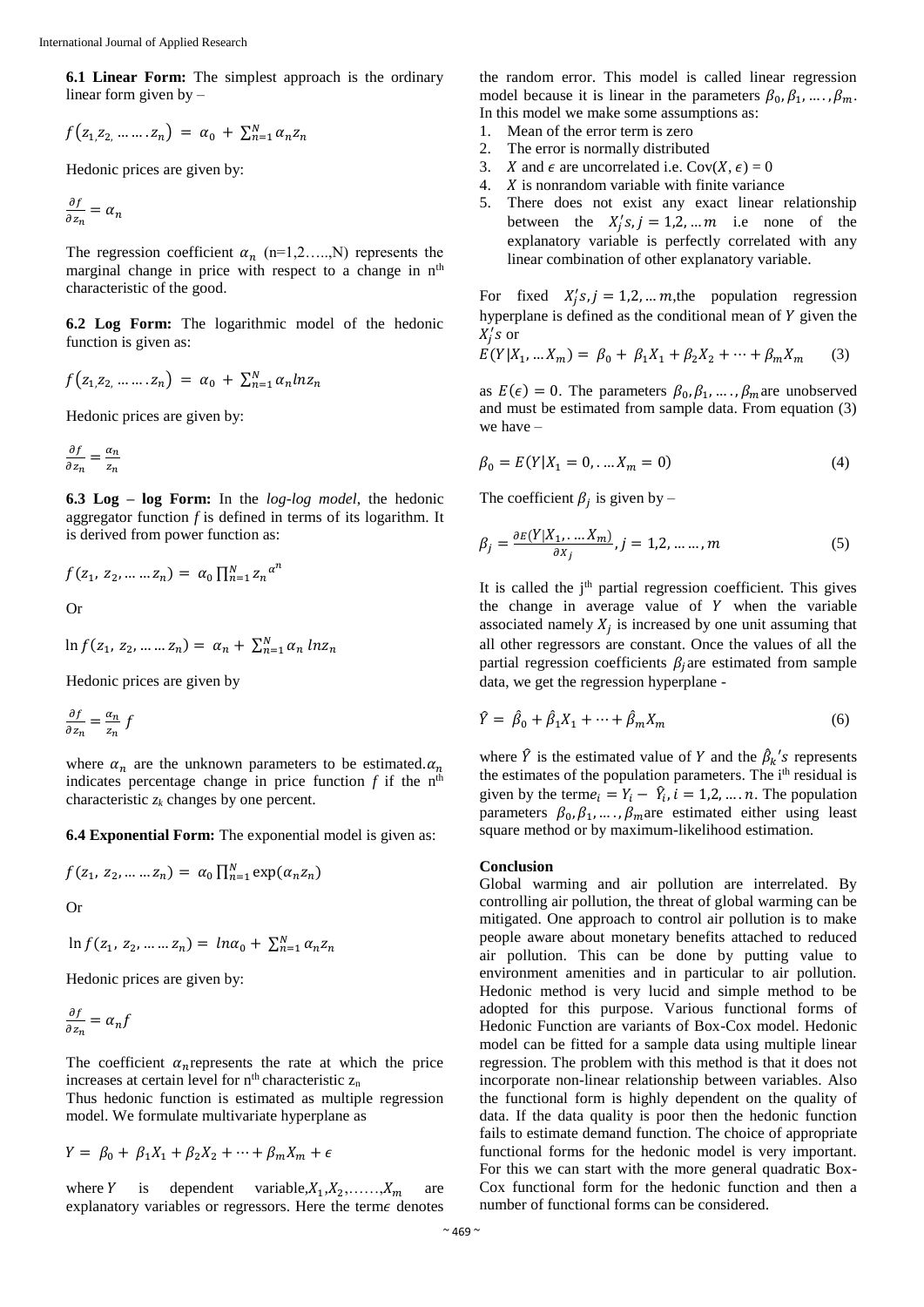**6.1 Linear Form:** The simplest approach is the ordinary linear form given by –

$$
f(z_{1,}z_{2,}\ldots\ldots z_{n}) = \alpha_{0} + \sum_{n=1}^{N} \alpha_{n} z_{n}
$$

Hedonic prices are given by:

$$
\frac{\partial f}{\partial z_n} = \alpha_n
$$

The regression coefficient  $\alpha_n$  (n=1,2….,N) represents the marginal change in price with respect to a change in  $n<sup>th</sup>$ characteristic of the good.

**6.2 Log Form:** The logarithmic model of the hedonic function is given as:

$$
f(z_{1,2_2,\ldots\ldots z_n}) = \alpha_0 + \sum_{n=1}^{N} \alpha_n ln z_n
$$

Hedonic prices are given by:

$$
\frac{\partial f}{\partial z_n} = \frac{\alpha_n}{z_n}
$$

**6.3 Log – log Form:** In the *log-log model*, the hedonic aggregator function *f* is defined in terms of its logarithm. It is derived from power function as:

$$
f(z_1, z_2, ..., z_n) = \alpha_0 \prod_{n=1}^{N} z_n^{\alpha^n}
$$
 Or

$$
\ln f(z_1, z_2, \dots z_n) = \alpha_n + \sum_{n=1}^{N} \alpha_n \ln z_n
$$

Hedonic prices are given by

$$
\frac{\partial f}{\partial z_n} = \frac{\alpha_n}{z_n} f
$$

where  $\alpha_n$  are the unknown parameters to be estimated.  $\alpha_n$ indicates percentage change in price function  $f$  if the  $n<sup>th</sup>$ characteristic *z<sup>k</sup>* changes by one percent.

**6.4 Exponential Form:** The exponential model is given as:

$$
f(z_1, z_2, \dots z_n) = \alpha_0 \prod_{n=1}^{N} \exp(\alpha_n z_n)
$$

Or

$$
\ln f(z_1, z_2, \dots z_n) = \ln \alpha_0 + \sum_{n=1}^{N} \alpha_n z_n
$$

Hedonic prices are given by:

$$
\frac{\partial f}{\partial z_n} = \alpha_n f
$$

The coefficient  $\alpha_n$  represents the rate at which the price increases at certain level for  $n<sup>th</sup>$  characteristic  $z_n$ 

Thus hedonic function is estimated as multiple regression model. We formulate multivariate hyperplane as

$$
Y = \beta_0 + \beta_1 X_1 + \beta_2 X_2 + \dots + \beta_m X_m + \epsilon
$$

where Y is dependent variable,  $X_1, X_2, \ldots, X_m$  are explanatory variables or regressors. Here the term $\epsilon$  denotes

the random error. This model is called linear regression model because it is linear in the parameters  $\beta_0, \beta_1, ..., \beta_m$ . In this model we make some assumptions as:

- 1. Mean of the error term is zero
- 2. The error is normally distributed
- 3. *X* and  $\epsilon$  are uncorrelated i.e.  $Cov(X, \epsilon) = 0$ 4.  $X$  is nonrandom variable with finite variance
- 5. There does not exist any exact linear relationship between the  $X'_j s, j = 1, 2, \dots m$  i.e none of the explanatory variable is perfectly correlated with any linear combination of other explanatory variable.

For fixed  $X'_j s, j = 1,2, \dots m$ , the population regression hyperplane is defined as the conditional mean of  $Y$  given the  $X'_j$ s or

$$
E(Y|X_1, ... X_m) = \beta_0 + \beta_1 X_1 + \beta_2 X_2 + \dots + \beta_m X_m \tag{3}
$$

as  $E(\epsilon) = 0$ . The parameters  $\beta_0, \beta_1, ..., \beta_m$  are unobserved and must be estimated from sample data. From equation (3) we have –

$$
\beta_0 = E(Y|X_1 = 0, \dots, X_m = 0) \tag{4}
$$

The coefficient  $\beta_j$  is given by –

$$
\beta_j = \frac{\partial E(Y|X_1, \dots, X_m)}{\partial x_j}, j = 1, 2, \dots, m
$$
\n(5)

It is called the  $j<sup>th</sup>$  partial regression coefficient. This gives the change in average value of  $Y$  when the variable associated namely  $X_j$  is increased by one unit assuming that all other regressors are constant. Once the values of all the partial regression coefficients  $\beta_i$  are estimated from sample data, we get the regression hyperplane -

$$
\hat{Y} = \hat{\beta}_0 + \hat{\beta}_1 X_1 + \dots + \hat{\beta}_m X_m \tag{6}
$$

where  $\hat{Y}$  is the estimated value of Y and the  $\hat{\beta}_k$ 's represents the estimates of the population parameters. The i<sup>th</sup> residual is given by the term $e_i = Y_i - \hat{Y}_i$ ,  $i = 1, 2, ..., n$ . The population parameters  $\beta_0, \beta_1, \dots, \beta_m$  are estimated either using least square method or by maximum-likelihood estimation.

#### **Conclusion**

Global warming and air pollution are interrelated. By controlling air pollution, the threat of global warming can be mitigated. One approach to control air pollution is to make people aware about monetary benefits attached to reduced air pollution. This can be done by putting value to environment amenities and in particular to air pollution. Hedonic method is very lucid and simple method to be adopted for this purpose. Various functional forms of Hedonic Function are variants of Box-Cox model. Hedonic model can be fitted for a sample data using multiple linear regression. The problem with this method is that it does not incorporate non-linear relationship between variables. Also the functional form is highly dependent on the quality of data. If the data quality is poor then the hedonic function fails to estimate demand function. The choice of appropriate functional forms for the hedonic model is very important. For this we can start with the more general quadratic Box-Cox functional form for the hedonic function and then a number of functional forms can be considered.